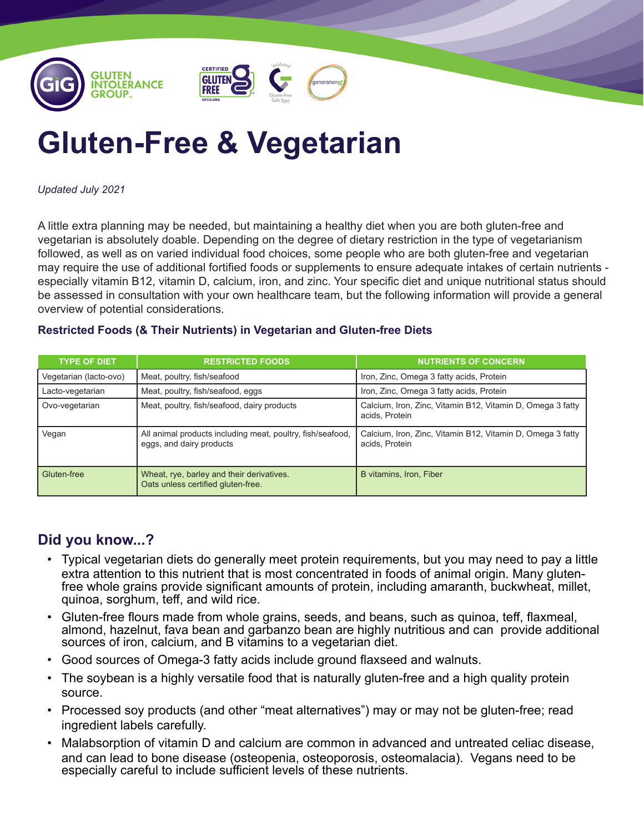

## **Gluten-Free & Vegetarian**

*Updated July 2021*

A little extra planning may be needed, but maintaining a healthy diet when you are both gluten-free and vegetarian is absolutely doable. Depending on the degree of dietary restriction in the type of vegetarianism followed, as well as on varied individual food choices, some people who are both gluten-free and vegetarian may require the use of additional fortified foods or supplements to ensure adequate intakes of certain nutrients especially vitamin B12, vitamin D, calcium, iron, and zinc. Your specific diet and unique nutritional status should be assessed in consultation with your own healthcare team, but the following information will provide a general overview of potential considerations.

## **Restricted Foods (& Their Nutrients) in Vegetarian and Gluten-free Diets**

| <b>TYPE OF DIET</b>    | <b>RESTRICTED FOODS</b>                                                                | <b>NUTRIENTS OF CONCERN</b>                                                  |
|------------------------|----------------------------------------------------------------------------------------|------------------------------------------------------------------------------|
| Vegetarian (lacto-ovo) | Meat, poultry, fish/seafood                                                            | Iron, Zinc, Omega 3 fatty acids, Protein                                     |
| Lacto-vegetarian       | Meat, poultry, fish/seafood, eggs                                                      | Iron, Zinc, Omega 3 fatty acids, Protein                                     |
| Ovo-vegetarian         | Meat, poultry, fish/seafood, dairy products                                            | Calcium, Iron, Zinc, Vitamin B12, Vitamin D, Omega 3 fatty<br>acids, Protein |
| Vegan                  | All animal products including meat, poultry, fish/seafood,<br>eggs, and dairy products | Calcium, Iron, Zinc, Vitamin B12, Vitamin D, Omega 3 fatty<br>acids, Protein |
| Gluten-free            | Wheat, rye, barley and their derivatives.<br>Oats unless certified gluten-free.        | B vitamins, Iron, Fiber                                                      |

## **Did you know...?**

- Typical vegetarian diets do generally meet protein requirements, but you may need to pay a little extra attention to this nutrient that is most concentrated in foods of animal origin. Many glutenfree whole grains provide significant amounts of protein, including amaranth, buckwheat, millet, quinoa, sorghum, teff, and wild rice.
- Gluten-free flours made from whole grains, seeds, and beans, such as quinoa, teff, flaxmeal, almond, hazelnut, fava bean and garbanzo bean are highly nutritious and can provide additional sources of iron, calcium, and B vitamins to a vegetarian diet.
- Good sources of Omega-3 fatty acids include ground flaxseed and walnuts.
- The soybean is a highly versatile food that is naturally gluten-free and a high quality protein source.
- Processed soy products (and other "meat alternatives") may or may not be gluten-free; read ingredient labels carefully.
- Malabsorption of vitamin D and calcium are common in advanced and untreated celiac disease, and can lead to bone disease (osteopenia, osteoporosis, osteomalacia). Vegans need to be especially careful to include sufficient levels of these nutrients.